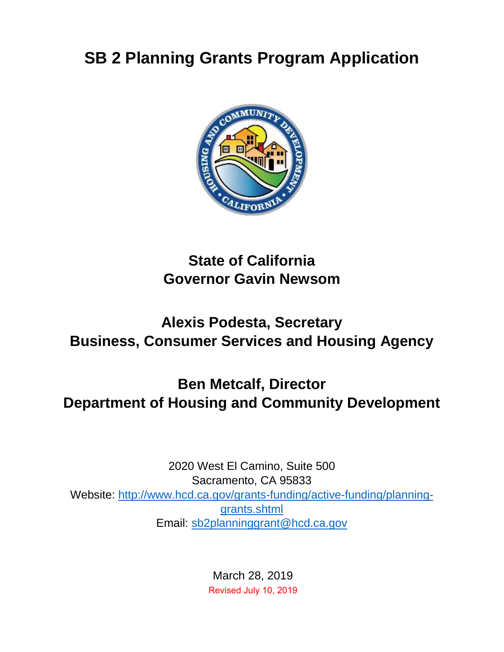# **SB 2 Planning Grants Program Application**



## **State of California Governor Gavin Newsom**

## **Alexis Podesta, Secretary Business, Consumer Services and Housing Agency**

# **Ben Metcalf, Director Department of Housing and Community Development**

2020 West El Camino, Suite 500 Sacramento, CA 95833 Website: http://www.hcd.ca.gov/grants-funding/active-funding/planninggrants.shtml Email: sb2planninggrant@hcd.ca.gov

> March 28, 2019 Revised July 10, 2019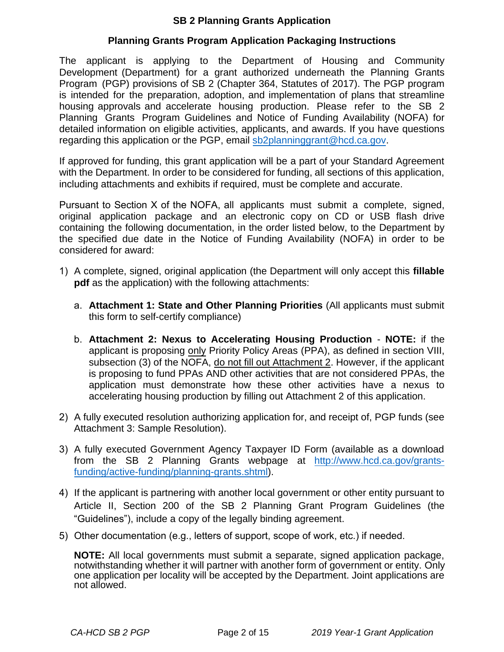#### **SB 2 Planning Grants Application**

#### **Planning Grants Program Application Packaging Instructions**

The applicant is applying to the Department of Housing and Community Development (Department) for a grant authorized underneath the Planning Grants Program (PGP) provisions of SB 2 (Chapter 364, Statutes of 2017). The PGP program is intended for the preparation, adoption, and implementation of plans that streamline housing approvals and accelerate housing production. Please refer to the SB 2 Planning Grants Program Guidelines and Notice of Funding Availability (NOFA) for detailed information on eligible activities, applicants, and awards. If you have questions regarding this application or the PGP, email sb2planninggrant@hcd.ca.gov.

If approved for funding, this grant application will be a part of your Standard Agreement with the Department. In order to be considered for funding, all sections of this application, including attachments and exhibits if required, must be complete and accurate.

Pursuant to Section X of the NOFA, all applicants must submit a complete, signed, original application package and an electronic copy on CD or USB flash drive containing the following documentation, in the order listed below, to the Department by the specified due date in the Notice of Funding Availability (NOFA) in order to be considered for award:

- 1) A complete, signed, original application (the Department will only accept this **fillable pdf** as the application) with the following attachments:
	- a. **Attachment 1: State and Other Planning Priorities** (All applicants must submit this form to self-certify compliance)
	- b. **Attachment 2: Nexus to Accelerating Housing Production NOTE:** if the applicant is proposing only Priority Policy Areas (PPA), as defined in section VIII, subsection (3) of the NOFA, do not fill out Attachment 2. However, if the applicant is proposing to fund PPAs AND other activities that are not considered PPAs, the application must demonstrate how these other activities have a nexus to accelerating housing production by filling out Attachment 2 of this application.
- 2) A fully executed resolution authorizing application for, and receipt of, PGP funds (see Attachment 3: Sample Resolution).
- 3) A fully executed Government Agency Taxpayer ID Form (available as a download from the SB 2 Planning Grants webpage at http://www.hcd.ca.gov/grantsfunding/active-funding/planning-grants.shtml).
- 4) If the applicant is partnering with another local government or other entity pursuant to Article II, Section 200 of the SB 2 Planning Grant Program Guidelines (the "Guidelines"), include a copy of the legally binding agreement.
- 5) Other documentation (e.g., letters of support, scope of work, etc.) if needed.

**NOTE:** All local governments must submit a separate, signed application package, notwithstanding whether it will partner with another form of government or entity. Only one application per locality will be accepted by the Department. Joint applications are not allowed.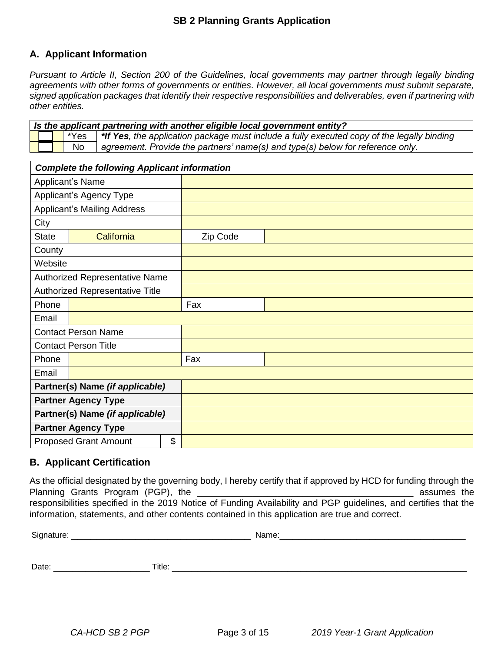#### **A. Applicant Information**

*Pursuant to Article II, Section 200 of the Guidelines, local governments may partner through legally binding agreements with other forms of governments or entities. However, all local governments must submit separate, signed application packages that identify their respective responsibilities and deliverables, even if partnering with other entities.*

| Is the applicant partnering with another eligible local government entity? |           |                                                                                                          |  |  |  |
|----------------------------------------------------------------------------|-----------|----------------------------------------------------------------------------------------------------------|--|--|--|
|                                                                            |           | $\Box$ *Yes   *If Yes, the application package must include a fully executed copy of the legally binding |  |  |  |
|                                                                            | <b>No</b> | $\vert$ agreement. Provide the partners' name(s) and type(s) below for reference only.                   |  |  |  |

|                                 | <b>Complete the following Applicant information</b> |    |          |  |  |  |
|---------------------------------|-----------------------------------------------------|----|----------|--|--|--|
|                                 | <b>Applicant's Name</b>                             |    |          |  |  |  |
|                                 | Applicant's Agency Type                             |    |          |  |  |  |
|                                 | <b>Applicant's Mailing Address</b>                  |    |          |  |  |  |
| City                            |                                                     |    |          |  |  |  |
| <b>State</b>                    | California                                          |    | Zip Code |  |  |  |
| County                          |                                                     |    |          |  |  |  |
| Website                         |                                                     |    |          |  |  |  |
|                                 | <b>Authorized Representative Name</b>               |    |          |  |  |  |
|                                 | Authorized Representative Title                     |    |          |  |  |  |
| Phone                           |                                                     |    | Fax      |  |  |  |
| Email                           |                                                     |    |          |  |  |  |
|                                 | <b>Contact Person Name</b>                          |    |          |  |  |  |
|                                 | <b>Contact Person Title</b>                         |    |          |  |  |  |
| Phone                           |                                                     |    | Fax      |  |  |  |
| Email                           |                                                     |    |          |  |  |  |
| Partner(s) Name (if applicable) |                                                     |    |          |  |  |  |
| <b>Partner Agency Type</b>      |                                                     |    |          |  |  |  |
| Partner(s) Name (if applicable) |                                                     |    |          |  |  |  |
|                                 | <b>Partner Agency Type</b>                          |    |          |  |  |  |
|                                 | <b>Proposed Grant Amount</b>                        | \$ |          |  |  |  |

#### **B. Applicant Certification**

As the official designated by the governing body, I hereby certify that if approved by HCD for funding through the Planning Grants Program (PGP), the \_\_\_\_\_\_\_\_\_\_\_\_\_\_\_\_\_\_\_\_\_\_\_\_\_\_\_\_\_\_\_\_\_\_\_\_\_\_\_\_\_\_\_ assumes the responsibilities specified in the 2019 Notice of Funding Availability and PGP guidelines, and certifies that the information, statements, and other contents contained in this application are true and correct.

| Signature: |        | Name: |
|------------|--------|-------|
|            |        |       |
| Date:      | Title: |       |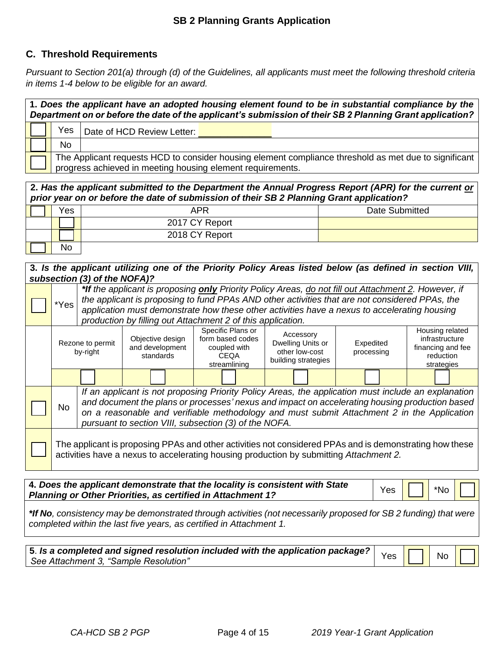#### **C. Threshold Requirements**

*Pursuant to Section 201(a) through (d) of the Guidelines, all applicants must meet the following threshold criteria in items 1-4 below to be eligible for an award.*

| 1. Does the applicant have an adopted housing element found to be in substantial compliance by the<br>Department on or before the date of the applicant's submission of their SB 2 Planning Grant application? |                                                                                                                                                                     |                            |  |  |  |  |  |
|----------------------------------------------------------------------------------------------------------------------------------------------------------------------------------------------------------------|---------------------------------------------------------------------------------------------------------------------------------------------------------------------|----------------------------|--|--|--|--|--|
|                                                                                                                                                                                                                | Yes                                                                                                                                                                 | Date of HCD Review Letter: |  |  |  |  |  |
|                                                                                                                                                                                                                | No                                                                                                                                                                  |                            |  |  |  |  |  |
|                                                                                                                                                                                                                | The Applicant requests HCD to consider housing element compliance threshold as met due to significant<br>progress achieved in meeting housing element requirements. |                            |  |  |  |  |  |

| 2. Has the applicant submitted to the Department the Annual Progress Report (APR) for the current or<br>prior year on or before the date of submission of their SB 2 Planning Grant application? |                |                |  |  |  |  |
|--------------------------------------------------------------------------------------------------------------------------------------------------------------------------------------------------|----------------|----------------|--|--|--|--|
| Yes                                                                                                                                                                                              | APR            | Date Submitted |  |  |  |  |
|                                                                                                                                                                                                  | 2017 CY Report |                |  |  |  |  |
|                                                                                                                                                                                                  | 2018 CY Report |                |  |  |  |  |
| No                                                                                                                                                                                               |                |                |  |  |  |  |

#### **3.** *Is the applicant utilizing one of the Priority Policy Areas listed below (as defined in section VIII, subsection (3) of the NOFA)?*

| *If the applicant is proposing only Priority Policy Areas, do not fill out Attachment 2. However, if<br>the applicant is proposing to fund PPAs AND other activities that are not considered PPAs, the<br>*Yes<br>application must demonstrate how these other activities have a nexus to accelerating housing<br>production by filling out Attachment 2 of this application. |  |  |                                                                               |                                                                         |                         |                                                                                   |
|-------------------------------------------------------------------------------------------------------------------------------------------------------------------------------------------------------------------------------------------------------------------------------------------------------------------------------------------------------------------------------|--|--|-------------------------------------------------------------------------------|-------------------------------------------------------------------------|-------------------------|-----------------------------------------------------------------------------------|
| Objective design<br>Rezone to permit<br>and development<br>by-right<br>standards                                                                                                                                                                                                                                                                                              |  |  | Specific Plans or<br>form based codes<br>coupled with<br>CEQA<br>streamlining | Accessory<br>Dwelling Units or<br>other low-cost<br>building strategies | Expedited<br>processing | Housing related<br>infrastructure<br>financing and fee<br>reduction<br>strategies |
|                                                                                                                                                                                                                                                                                                                                                                               |  |  |                                                                               |                                                                         |                         |                                                                                   |
| If an applicant is not proposing Priority Policy Areas, the application must include an explanation<br>and document the plans or processes' nexus and impact on accelerating housing production based<br><b>No</b><br>on a reasonable and verifiable methodology and must submit Attachment 2 in the Application                                                              |  |  |                                                                               |                                                                         |                         |                                                                                   |
| pursuant to section VIII, subsection (3) of the NOFA.<br>The applicant is proposing PPAs and other activities not considered PPAs and is demonstrating how these<br>activities have a nexus to accelerating housing production by submitting Attachment 2.                                                                                                                    |  |  |                                                                               |                                                                         |                         |                                                                                   |

**4.** *Does the applicant demonstrate that the locality is consistent with State Planning or Other Priorities, as certified in Attachment 1?* Yes **T** T \*No

*\*If No, consistency may be demonstrated through activities (not necessarily proposed for SB 2 funding) that were completed within the last five years, as certified in Attachment 1.*

|                                       |  | No II | ⅂Ӏ |
|---------------------------------------|--|-------|----|
| See Attachment 3, "Sample Resolution" |  |       |    |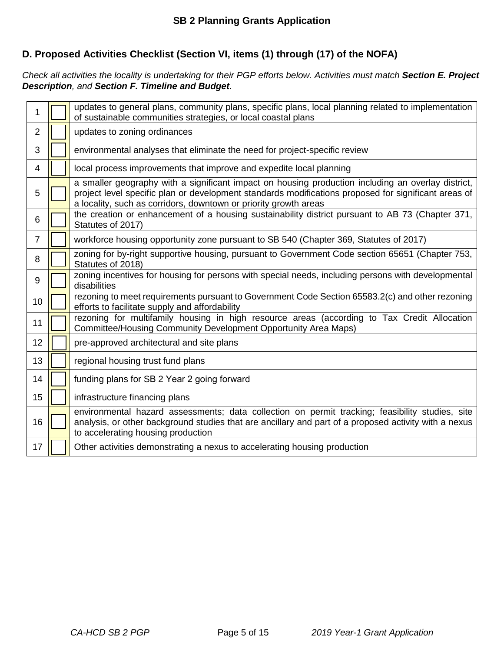#### **D. Proposed Activities Checklist (Section VI, items (1) through (17) of the NOFA)**

*Check all activities the locality is undertaking for their PGP efforts below. Activities must match Section E. Project Description, and Section F. Timeline and Budget.*

| 1              | updates to general plans, community plans, specific plans, local planning related to implementation<br>of sustainable communities strategies, or local coastal plans                                                                                                           |
|----------------|--------------------------------------------------------------------------------------------------------------------------------------------------------------------------------------------------------------------------------------------------------------------------------|
| $\overline{2}$ | updates to zoning ordinances                                                                                                                                                                                                                                                   |
| 3              | environmental analyses that eliminate the need for project-specific review                                                                                                                                                                                                     |
| 4              | local process improvements that improve and expedite local planning                                                                                                                                                                                                            |
| 5              | a smaller geography with a significant impact on housing production including an overlay district,<br>project level specific plan or development standards modifications proposed for significant areas of<br>a locality, such as corridors, downtown or priority growth areas |
| 6              | the creation or enhancement of a housing sustainability district pursuant to AB 73 (Chapter 371,<br>Statutes of 2017)                                                                                                                                                          |
| 7              | workforce housing opportunity zone pursuant to SB 540 (Chapter 369, Statutes of 2017)                                                                                                                                                                                          |
| 8              | zoning for by-right supportive housing, pursuant to Government Code section 65651 (Chapter 753,<br>Statutes of 2018)                                                                                                                                                           |
| 9              | zoning incentives for housing for persons with special needs, including persons with developmental<br>disabilities                                                                                                                                                             |
| 10             | rezoning to meet requirements pursuant to Government Code Section 65583.2(c) and other rezoning<br>efforts to facilitate supply and affordability                                                                                                                              |
| 11             | rezoning for multifamily housing in high resource areas (according to Tax Credit Allocation<br>Committee/Housing Community Development Opportunity Area Maps)                                                                                                                  |
| 12             | pre-approved architectural and site plans                                                                                                                                                                                                                                      |
| 13             | regional housing trust fund plans                                                                                                                                                                                                                                              |
| 14             | funding plans for SB 2 Year 2 going forward                                                                                                                                                                                                                                    |
| 15             | infrastructure financing plans                                                                                                                                                                                                                                                 |
| 16             | environmental hazard assessments; data collection on permit tracking; feasibility studies, site<br>analysis, or other background studies that are ancillary and part of a proposed activity with a nexus<br>to accelerating housing production                                 |
| 17             | Other activities demonstrating a nexus to accelerating housing production                                                                                                                                                                                                      |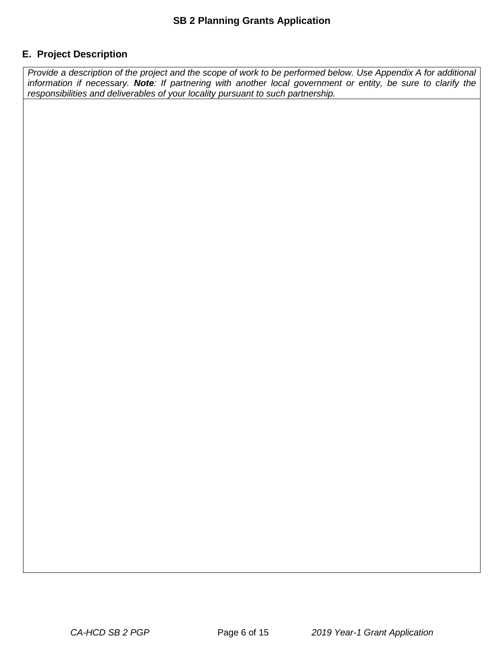#### **E. Project Description**

*Provide a description of the project and the scope of work to be performed below. Use Appendix A for additional information if necessary. Note: If partnering with another local government or entity, be sure to clarify the responsibilities and deliverables of your locality pursuant to such partnership.*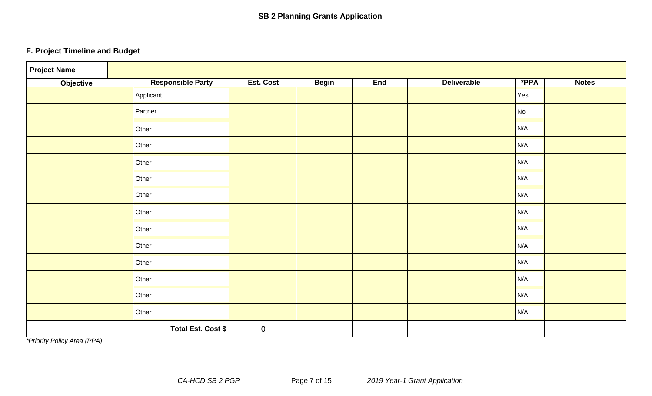### **F. Project Timeline and Budget**

| <b>Project Name</b> |                          |           |              |     |                    |      |              |
|---------------------|--------------------------|-----------|--------------|-----|--------------------|------|--------------|
| <b>Objective</b>    | <b>Responsible Party</b> | Est. Cost | <b>Begin</b> | End | <b>Deliverable</b> | *PPA | <b>Notes</b> |
|                     | Applicant                |           |              |     |                    | Yes  |              |
|                     | Partner                  |           |              |     |                    | No   |              |
|                     | Other                    |           |              |     |                    | N/A  |              |
|                     | Other                    |           |              |     |                    | N/A  |              |
|                     | Other                    |           |              |     |                    | N/A  |              |
|                     | Other                    |           |              |     |                    | N/A  |              |
|                     | Other                    |           |              |     |                    | N/A  |              |
|                     | Other                    |           |              |     |                    | N/A  |              |
|                     | Other                    |           |              |     |                    | N/A  |              |
|                     | Other                    |           |              |     |                    | N/A  |              |
|                     | Other                    |           |              |     |                    | N/A  |              |
|                     | Other                    |           |              |     |                    | N/A  |              |
|                     | Other                    |           |              |     |                    | N/A  |              |
|                     | Other                    |           |              |     |                    | N/A  |              |
|                     | Total Est. Cost \$       | $\pmb{0}$ |              |     |                    |      |              |

*\*Priority Policy Area (PPA)*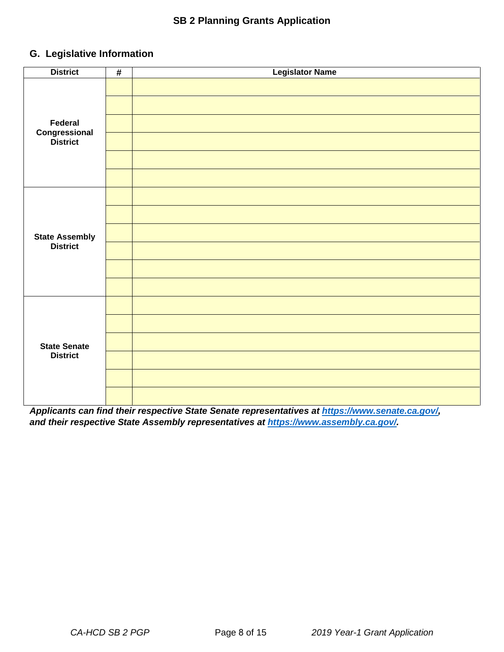#### **G. Legislative Information**

| <b>District</b>           | $\pmb{\#}$ | <b>Legislator Name</b> |
|---------------------------|------------|------------------------|
|                           |            |                        |
|                           |            |                        |
| Federal                   |            |                        |
| Congressional<br>District |            |                        |
|                           |            |                        |
|                           |            |                        |
|                           |            |                        |
|                           |            |                        |
| <b>State Assembly</b>     |            |                        |
| <b>District</b>           |            |                        |
|                           |            |                        |
|                           |            |                        |
|                           |            |                        |
|                           |            |                        |
| <b>State Senate</b>       |            |                        |
| <b>District</b>           |            |                        |
|                           |            |                        |
|                           |            |                        |

*Applicants can find their respective State Senate representatives at https://www.senate.ca.gov/, and their respective State Assembly representatives at https://www.assembly.ca.gov/.*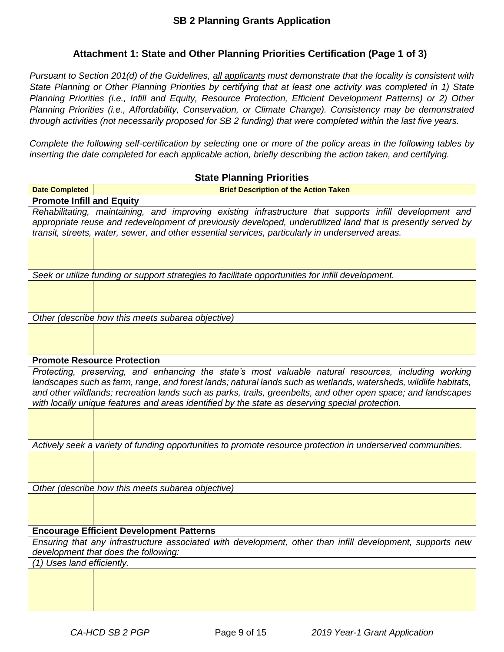#### **Attachment 1: State and Other Planning Priorities Certification (Page 1 of 3)**

*Pursuant to Section 201(d) of the Guidelines, all applicants must demonstrate that the locality is consistent with State Planning or Other Planning Priorities by certifying that at least one activity was completed in 1) State Planning Priorities (i.e., Infill and Equity, Resource Protection, Efficient Development Patterns) or 2) Other Planning Priorities (i.e., Affordability, Conservation, or Climate Change). Consistency may be demonstrated through activities (not necessarily proposed for SB 2 funding) that were completed within the last five years.*

*Complete the following self-certification by selecting one or more of the policy areas in the following tables by inserting the date completed for each applicable action, briefly describing the action taken, and certifying.*

|                                  | <b>State Planning Priorities</b>                                                                                                                                                                                                                                                                                                                                                                                                             |
|----------------------------------|----------------------------------------------------------------------------------------------------------------------------------------------------------------------------------------------------------------------------------------------------------------------------------------------------------------------------------------------------------------------------------------------------------------------------------------------|
| <b>Date Completed</b>            | <b>Brief Description of the Action Taken</b>                                                                                                                                                                                                                                                                                                                                                                                                 |
| <b>Promote Infill and Equity</b> |                                                                                                                                                                                                                                                                                                                                                                                                                                              |
|                                  | Rehabilitating, maintaining, and improving existing infrastructure that supports infill development and<br>appropriate reuse and redevelopment of previously developed, underutilized land that is presently served by<br>transit, streets, water, sewer, and other essential services, particularly in underserved areas.                                                                                                                   |
|                                  |                                                                                                                                                                                                                                                                                                                                                                                                                                              |
|                                  |                                                                                                                                                                                                                                                                                                                                                                                                                                              |
|                                  | Seek or utilize funding or support strategies to facilitate opportunities for infill development.                                                                                                                                                                                                                                                                                                                                            |
|                                  |                                                                                                                                                                                                                                                                                                                                                                                                                                              |
|                                  | Other (describe how this meets subarea objective)                                                                                                                                                                                                                                                                                                                                                                                            |
|                                  |                                                                                                                                                                                                                                                                                                                                                                                                                                              |
|                                  | <b>Promote Resource Protection</b>                                                                                                                                                                                                                                                                                                                                                                                                           |
|                                  | Protecting, preserving, and enhancing the state's most valuable natural resources, including working<br>landscapes such as farm, range, and forest lands; natural lands such as wetlands, watersheds, wildlife habitats,<br>and other wildlands; recreation lands such as parks, trails, greenbelts, and other open space; and landscapes<br>with locally unique features and areas identified by the state as deserving special protection. |
|                                  |                                                                                                                                                                                                                                                                                                                                                                                                                                              |
|                                  | Actively seek a variety of funding opportunities to promote resource protection in underserved communities.                                                                                                                                                                                                                                                                                                                                  |
|                                  |                                                                                                                                                                                                                                                                                                                                                                                                                                              |
|                                  | Other (describe how this meets subarea objective)                                                                                                                                                                                                                                                                                                                                                                                            |
|                                  |                                                                                                                                                                                                                                                                                                                                                                                                                                              |
|                                  | <b>Encourage Efficient Development Patterns</b>                                                                                                                                                                                                                                                                                                                                                                                              |
|                                  | Ensuring that any infrastructure associated with development, other than infill development, supports new<br>development that does the following:                                                                                                                                                                                                                                                                                            |
| Uses land efficiently.<br>(1)    |                                                                                                                                                                                                                                                                                                                                                                                                                                              |
|                                  |                                                                                                                                                                                                                                                                                                                                                                                                                                              |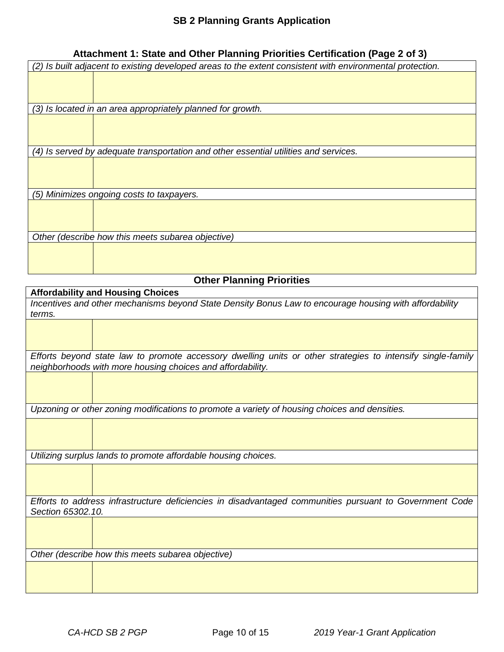#### **Attachment 1: State and Other Planning Priorities Certification (Page 2 of 3)**

|                                                   | (2) Is built adjacent to existing developed areas to the extent consistent with environmental protection. |  |  |  |  |
|---------------------------------------------------|-----------------------------------------------------------------------------------------------------------|--|--|--|--|
|                                                   |                                                                                                           |  |  |  |  |
|                                                   |                                                                                                           |  |  |  |  |
|                                                   | (3) Is located in an area appropriately planned for growth.                                               |  |  |  |  |
|                                                   |                                                                                                           |  |  |  |  |
|                                                   |                                                                                                           |  |  |  |  |
|                                                   |                                                                                                           |  |  |  |  |
|                                                   | (4) Is served by adequate transportation and other essential utilities and services.                      |  |  |  |  |
|                                                   |                                                                                                           |  |  |  |  |
|                                                   |                                                                                                           |  |  |  |  |
|                                                   |                                                                                                           |  |  |  |  |
|                                                   | (5) Minimizes ongoing costs to taxpayers.                                                                 |  |  |  |  |
|                                                   |                                                                                                           |  |  |  |  |
|                                                   |                                                                                                           |  |  |  |  |
|                                                   |                                                                                                           |  |  |  |  |
| Other (describe how this meets subarea objective) |                                                                                                           |  |  |  |  |
|                                                   |                                                                                                           |  |  |  |  |
|                                                   |                                                                                                           |  |  |  |  |
|                                                   |                                                                                                           |  |  |  |  |
|                                                   |                                                                                                           |  |  |  |  |

### **Other Planning Priorities**

| <b>Affordability and Housing Choices</b>                                                                    |                                                                                                         |  |  |  |  |
|-------------------------------------------------------------------------------------------------------------|---------------------------------------------------------------------------------------------------------|--|--|--|--|
| Incentives and other mechanisms beyond State Density Bonus Law to encourage housing with affordability      |                                                                                                         |  |  |  |  |
| terms.                                                                                                      |                                                                                                         |  |  |  |  |
|                                                                                                             |                                                                                                         |  |  |  |  |
|                                                                                                             |                                                                                                         |  |  |  |  |
| Efforts beyond state law to promote accessory dwelling units or other strategies to intensify single-family |                                                                                                         |  |  |  |  |
| neighborhoods with more housing choices and affordability.                                                  |                                                                                                         |  |  |  |  |
|                                                                                                             |                                                                                                         |  |  |  |  |
|                                                                                                             |                                                                                                         |  |  |  |  |
|                                                                                                             | Upzoning or other zoning modifications to promote a variety of housing choices and densities.           |  |  |  |  |
|                                                                                                             |                                                                                                         |  |  |  |  |
|                                                                                                             |                                                                                                         |  |  |  |  |
|                                                                                                             |                                                                                                         |  |  |  |  |
|                                                                                                             | Utilizing surplus lands to promote affordable housing choices.                                          |  |  |  |  |
|                                                                                                             |                                                                                                         |  |  |  |  |
|                                                                                                             |                                                                                                         |  |  |  |  |
|                                                                                                             | Efforts to address infrastructure deficiencies in disadvantaged communities pursuant to Government Code |  |  |  |  |
| Section 65302.10.                                                                                           |                                                                                                         |  |  |  |  |
|                                                                                                             |                                                                                                         |  |  |  |  |
|                                                                                                             |                                                                                                         |  |  |  |  |
|                                                                                                             |                                                                                                         |  |  |  |  |
| Other (describe how this meets subarea objective)                                                           |                                                                                                         |  |  |  |  |
|                                                                                                             |                                                                                                         |  |  |  |  |
|                                                                                                             |                                                                                                         |  |  |  |  |
|                                                                                                             |                                                                                                         |  |  |  |  |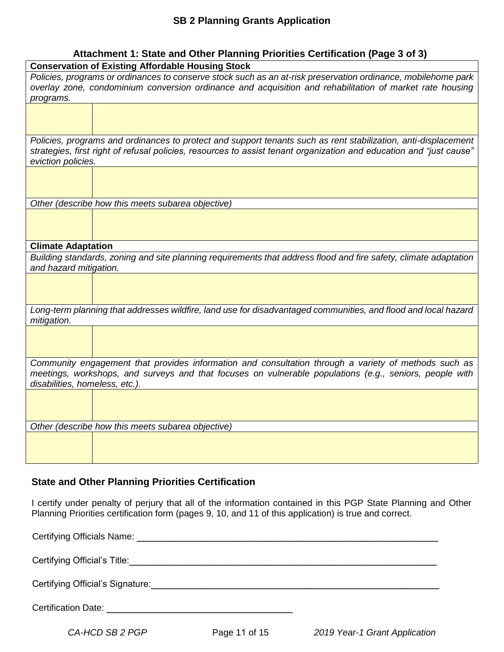#### **Attachment 1: State and Other Planning Priorities Certification (Page 3 of 3)**

| $\alpha$<br><b>Conservation of Existing Affordable Housing Stock</b>                                                                                                                                                                                        |                                                   |  |  |  |
|-------------------------------------------------------------------------------------------------------------------------------------------------------------------------------------------------------------------------------------------------------------|---------------------------------------------------|--|--|--|
| Policies, programs or ordinances to conserve stock such as an at-risk preservation ordinance, mobilehome park<br>overlay zone, condominium conversion ordinance and acquisition and rehabilitation of market rate housing<br>programs.                      |                                                   |  |  |  |
|                                                                                                                                                                                                                                                             |                                                   |  |  |  |
| Policies, programs and ordinances to protect and support tenants such as rent stabilization, anti-displacement<br>strategies, first right of refusal policies, resources to assist tenant organization and education and "just cause"<br>eviction policies. |                                                   |  |  |  |
|                                                                                                                                                                                                                                                             |                                                   |  |  |  |
|                                                                                                                                                                                                                                                             | Other (describe how this meets subarea objective) |  |  |  |
|                                                                                                                                                                                                                                                             |                                                   |  |  |  |
| <b>Climate Adaptation</b>                                                                                                                                                                                                                                   |                                                   |  |  |  |
| Building standards, zoning and site planning requirements that address flood and fire safety, climate adaptation<br>and hazard mitigation.                                                                                                                  |                                                   |  |  |  |
|                                                                                                                                                                                                                                                             |                                                   |  |  |  |
| Long-term planning that addresses wildfire, land use for disadvantaged communities, and flood and local hazard<br>mitigation.                                                                                                                               |                                                   |  |  |  |
|                                                                                                                                                                                                                                                             |                                                   |  |  |  |
| Community engagement that provides information and consultation through a variety of methods such as<br>meetings, workshops, and surveys and that focuses on vulnerable populations (e.g., seniors, people with<br>disabilities, homeless, etc.).           |                                                   |  |  |  |
|                                                                                                                                                                                                                                                             |                                                   |  |  |  |
| Other (describe how this meets subarea objective)                                                                                                                                                                                                           |                                                   |  |  |  |
|                                                                                                                                                                                                                                                             |                                                   |  |  |  |

#### **State and Other Planning Priorities Certification**

I certify under penalty of perjury that all of the information contained in this PGP State Planning and Other Planning Priorities certification form (pages 9, 10, and 11 of this application) is true and correct.

| <b>Certification Date:</b> |
|----------------------------|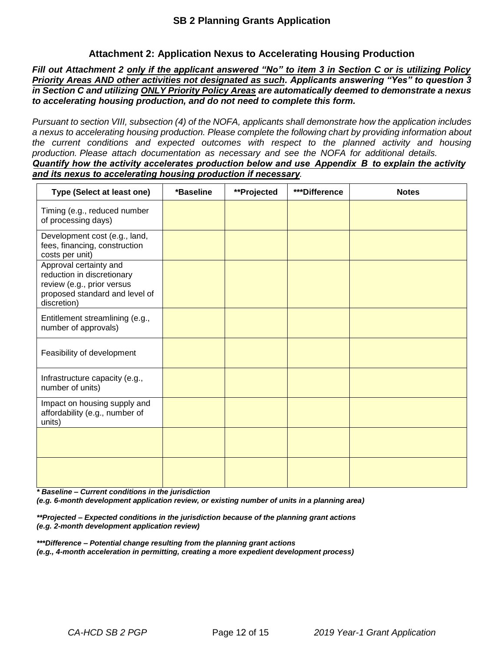#### **Attachment 2: Application Nexus to Accelerating Housing Production**

Fill out Attachment 2 only if the applicant answered "No" to item 3 in Section C or is utilizing Policy *Priority Areas AND other activities not designated as such. Applicants answering "Yes" to question 3 in Section C and utilizing ONLY Priority Policy Areas are automatically deemed to demonstrate a nexus to accelerating housing production, and do not need to complete this form.* 

*Pursuant to section VIII, subsection (4) of the NOFA, applicants shall demonstrate how the application includes a nexus to accelerating housing production. Please complete the following chart by providing information about the current conditions and expected outcomes with respect to the planned activity and housing production. Please attach documentation as necessary and see the NOFA for additional details. Quantify how the activity accelerates production below and use Appendix B to explain the activity* 

*and its nexus to accelerating housing production if necessary.*

| Type (Select at least one)                                                                                                          | *Baseline | **Projected | ***Difference | <b>Notes</b> |
|-------------------------------------------------------------------------------------------------------------------------------------|-----------|-------------|---------------|--------------|
| Timing (e.g., reduced number<br>of processing days)                                                                                 |           |             |               |              |
| Development cost (e.g., land,<br>fees, financing, construction<br>costs per unit)                                                   |           |             |               |              |
| Approval certainty and<br>reduction in discretionary<br>review (e.g., prior versus<br>proposed standard and level of<br>discretion) |           |             |               |              |
| Entitlement streamlining (e.g.,<br>number of approvals)                                                                             |           |             |               |              |
| Feasibility of development                                                                                                          |           |             |               |              |
| Infrastructure capacity (e.g.,<br>number of units)                                                                                  |           |             |               |              |
| Impact on housing supply and<br>affordability (e.g., number of<br>units)                                                            |           |             |               |              |
|                                                                                                                                     |           |             |               |              |
|                                                                                                                                     |           |             |               |              |

*\* Baseline – Current conditions in the jurisdiction*

*(e.g. 6-month development application review, or existing number of units in a planning area)*

*\*\*Projected – Expected conditions in the jurisdiction because of the planning grant actions (e.g. 2-month development application review)*

*\*\*\*Difference – Potential change resulting from the planning grant actions (e.g., 4-month acceleration in permitting, creating a more expedient development process)*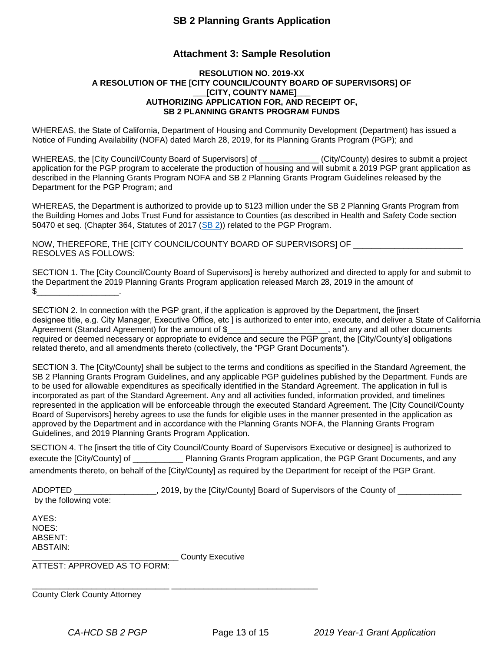#### **Attachment 3: Sample Resolution**

#### **RESOLUTION NO. 2019-XX A RESOLUTION OF THE [CITY COUNCIL/COUNTY BOARD OF SUPERVISORS] OF \_\_\_[CITY, COUNTY NAME]\_\_\_ AUTHORIZING APPLICATION FOR, AND RECEIPT OF, SB 2 PLANNING GRANTS PROGRAM FUNDS**

WHEREAS, the State of California, Department of Housing and Community Development (Department) has issued a Notice of Funding Availability (NOFA) dated March 28, 2019, for its Planning Grants Program (PGP); and

WHEREAS, the [City Council/County Board of Supervisors] of \_\_\_\_\_\_\_\_\_\_\_\_\_ (City/County) desires to submit a project application for the PGP program to accelerate the production of housing and will submit a 2019 PGP grant application as described in the Planning Grants Program NOFA and SB 2 Planning Grants Program Guidelines released by the Department for the PGP Program; and

WHEREAS, the Department is authorized to provide up to \$123 million under the SB 2 Planning Grants Program from the Building Homes and Jobs Trust Fund for assistance to Counties (as described in Health and Safety Code section 50470 et seq. (Chapter 364, Statutes of 2017 (SB 2)) related to the PGP Program.

NOW, THEREFORE, THE [CITY COUNCIL/COUNTY BOARD OF SUPERVISORS] OF \_\_\_\_\_\_\_\_\_\_\_\_\_\_\_\_\_\_\_\_\_\_\_\_ RESOLVES AS FOLLOWS:

SECTION 1. The [City Council/County Board of Supervisors] is hereby authorized and directed to apply for and submit to the Department the 2019 Planning Grants Program application released March 28, 2019 in the amount of \$\_\_\_\_\_\_\_\_\_\_\_\_\_\_\_\_\_\_.

SECTION 2. In connection with the PGP grant, if the application is approved by the Department, the [insert designee title, e.g. City Manager, Executive Office, etc ] is authorized to enter into, execute, and deliver a State of California Agreement (Standard Agreement) for the amount of \$\_\_\_\_\_\_\_\_\_\_\_\_\_\_\_\_\_\_\_\_\_\_\_\_, and any and all other documents required or deemed necessary or appropriate to evidence and secure the PGP grant, the [City/County's] obligations related thereto, and all amendments thereto (collectively, the "PGP Grant Documents").

SECTION 3. The [City/County] shall be subject to the terms and conditions as specified in the Standard Agreement, the SB 2 Planning Grants Program Guidelines, and any applicable PGP guidelines published by the Department. Funds are to be used for allowable expenditures as specifically identified in the Standard Agreement. The application in full is incorporated as part of the Standard Agreement. Any and all activities funded, information provided, and timelines represented in the application will be enforceable through the executed Standard Agreement. The [City Council/County Board of Supervisors] hereby agrees to use the funds for eligible uses in the manner presented in the application as approved by the Department and in accordance with the Planning Grants NOFA, the Planning Grants Program Guidelines, and 2019 Planning Grants Program Application.

SECTION 4. The [insert the title of City Council/County Board of Supervisors Executive or designee] is authorized to execute the [City/County] of **Execute 1** Planning Grants Program application, the PGP Grant Documents, and any amendments thereto, on behalf of the [City/County] as required by the Department for receipt of the PGP Grant.

ADOPTED \_\_\_\_\_\_\_\_\_\_\_\_\_\_\_\_\_\_\_\_, 2019, by the [City/County] Board of Supervisors of the County of \_\_\_\_\_\_\_\_\_\_\_\_\_\_

\_\_\_\_\_\_\_\_\_\_\_\_\_\_\_\_\_\_\_\_\_\_\_\_\_\_\_\_\_\_\_\_ County Executive

by the following vote:

AYES: NOES: ABSENT: ABSTAIN:

ATTEST: APPROVED AS TO FORM:

\_\_\_\_\_\_\_\_\_\_\_\_\_\_\_\_\_\_\_\_\_\_\_\_\_\_\_\_\_\_ \_\_\_\_\_\_\_\_\_\_\_\_\_\_\_\_\_\_\_\_\_\_\_\_\_\_\_\_\_\_\_\_ County Clerk County Attorney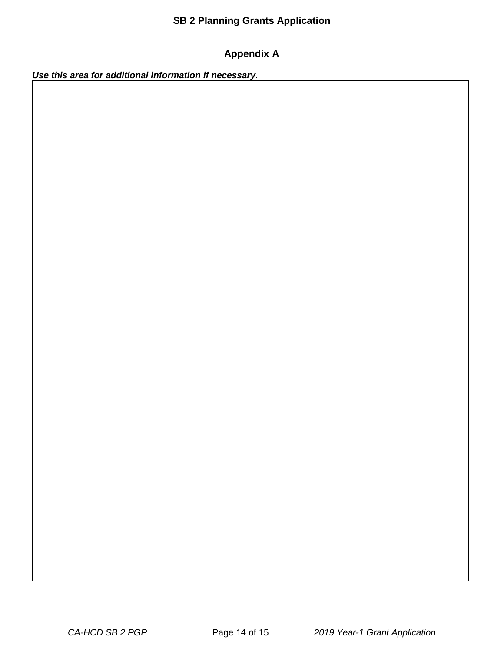#### **Appendix A**

*Use this area for additional information if necessary.*